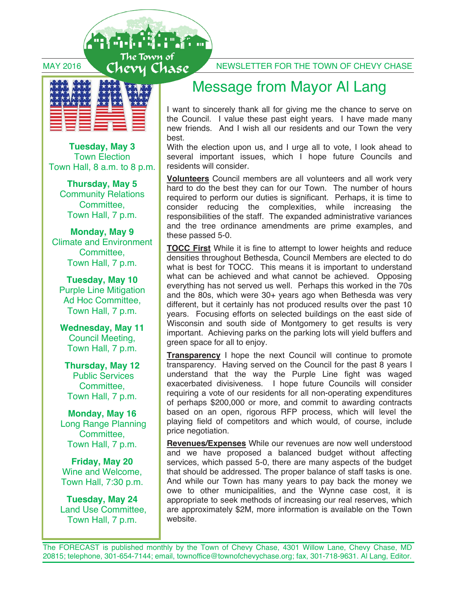The Town of<br>MAY 2016 Chevy Chase NEWSLETTER FOR THE TOWN OF CHEVY CHASE



**Tuesday, May 3**  Town Election Town Hall, 8 a.m. to 8 p.m.

**Thursday, May 5**  Community Relations Committee, Town Hall, 7 p.m.

**Monday, May 9**  Climate and Environment Committee, Town Hall, 7 p.m.

**Tuesday, May 10**  Purple Line Mitigation Ad Hoc Committee, Town Hall, 7 p.m.

**Wednesday, May 11** Council Meeting, Town Hall, 7 p.m.

**Thursday, May 12**  Public Services Committee, Town Hall, 7 p.m.

**Monday, May 16**  Long Range Planning Committee, Town Hall, 7 p.m.

**Friday, May 20**  Wine and Welcome, Town Hall, 7:30 p.m.

**Tuesday, May 24**  Land Use Committee, Town Hall, 7 p.m.

## Message from Mayor Al Lang

I want to sincerely thank all for giving me the chance to serve on the Council. I value these past eight years. I have made many new friends. And I wish all our residents and our Town the very best.

With the election upon us, and I urge all to vote, I look ahead to several important issues, which I hope future Councils and residents will consider.

**Volunteers** Council members are all volunteers and all work very hard to do the best they can for our Town. The number of hours required to perform our duties is significant. Perhaps, it is time to consider reducing the complexities, while increasing the responsibilities of the staff. The expanded administrative variances and the tree ordinance amendments are prime examples, and these passed 5-0.

**TOCC First** While it is fine to attempt to lower heights and reduce densities throughout Bethesda, Council Members are elected to do what is best for TOCC. This means it is important to understand what can be achieved and what cannot be achieved. Opposing everything has not served us well. Perhaps this worked in the 70s and the 80s, which were 30+ years ago when Bethesda was very different, but it certainly has not produced results over the past 10 years. Focusing efforts on selected buildings on the east side of Wisconsin and south side of Montgomery to get results is very important. Achieving parks on the parking lots will yield buffers and green space for all to enjoy.

**Transparency** I hope the next Council will continue to promote transparency. Having served on the Council for the past 8 years I understand that the way the Purple Line fight was waged exacerbated divisiveness. I hope future Councils will consider requiring a vote of our residents for all non-operating expenditures of perhaps \$200,000 or more, and commit to awarding contracts based on an open, rigorous RFP process, which will level the playing field of competitors and which would, of course, include price negotiation.

**Revenues/Expenses** While our revenues are now well understood and we have proposed a balanced budget without affecting services, which passed 5-0, there are many aspects of the budget that should be addressed. The proper balance of staff tasks is one. And while our Town has many years to pay back the money we owe to other municipalities, and the Wynne case cost, it is appropriate to seek methods of increasing our real reserves, which are approximately \$2M, more information is available on the Town website.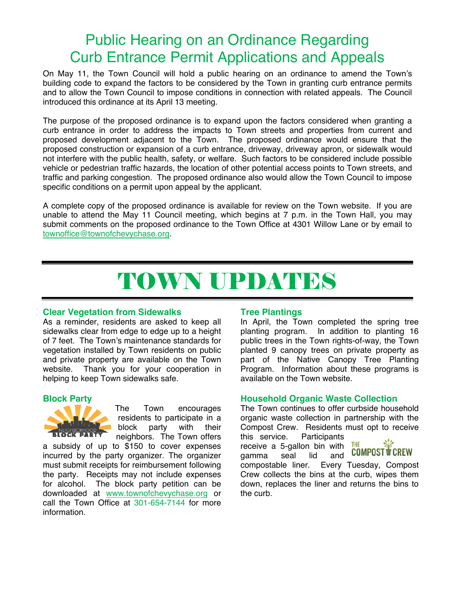## Public Hearing on an Ordinance Regarding Curb Entrance Permit Applications and Appeals

On May 11, the Town Council will hold a public hearing on an ordinance to amend the Town's building code to expand the factors to be considered by the Town in granting curb entrance permits and to allow the Town Council to impose conditions in connection with related appeals. The Council introduced this ordinance at its April 13 meeting.

The purpose of the proposed ordinance is to expand upon the factors considered when granting a curb entrance in order to address the impacts to Town streets and properties from current and proposed development adjacent to the Town. The proposed ordinance would ensure that the proposed construction or expansion of a curb entrance, driveway, driveway apron, or sidewalk would not interfere with the public health, safety, or welfare. Such factors to be considered include possible vehicle or pedestrian traffic hazards, the location of other potential access points to Town streets, and traffic and parking congestion. The proposed ordinance also would allow the Town Council to impose specific conditions on a permit upon appeal by the applicant.

A complete copy of the proposed ordinance is available for review on the Town website. If you are unable to attend the May 11 Council meeting, which begins at 7 p.m. in the Town Hall, you may submit comments on the proposed ordinance to the Town Office at 4301 Willow Lane or by email to townoffice@townofchevychase.org.

## TOWN UPDATES

#### **Clear Vegetation from Sidewalks**

As a reminder, residents are asked to keep all sidewalks clear from edge to edge up to a height of 7 feet. The Town's maintenance standards for vegetation installed by Town residents on public and private property are available on the Town website. Thank you for your cooperation in helping to keep Town sidewalks safe.

### **Block Party**



The Town encourages residents to participate in a block party with their neighbors. The Town offers

a subsidy of up to \$150 to cover expenses incurred by the party organizer. The organizer must submit receipts for reimbursement following the party. Receipts may not include expenses for alcohol. The block party petition can be downloaded at www.townofchevychase.org or call the Town Office at 301-654-7144 for more information.

### **Tree Plantings**

In April, the Town completed the spring tree<br>planting program. In addition to planting 16 In addition to planting 16 public trees in the Town rights-of-way, the Town planted 9 canopy trees on private property as part of the Native Canopy Tree Planting Program. Information about these programs is available on the Town website.

### **Household Organic Waste Collection**

The Town continues to offer curbside household organic waste collection in partnership with the Compost Crew. Residents must opt to receive this service. Participants

receive a 5-gallon bin with<br>gamma seal lid and



gamma seal lid compostable liner. Every Tuesday, Compost Crew collects the bins at the curb, wipes them down, replaces the liner and returns the bins to the curb.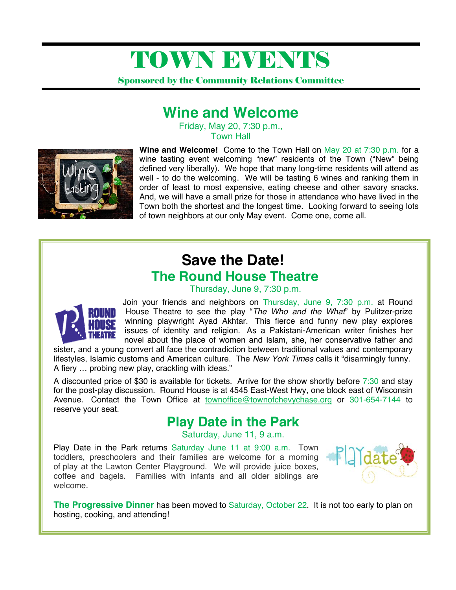# TOWN EVENTS

Sponsored by the Community Relations Committee

## **Wine and Welcome**

Friday, May 20, 7:30 p.m., Town Hall



**Wine and Welcome!** Come to the Town Hall on May 20 at 7:30 p.m. for a wine tasting event welcoming "new" residents of the Town ("New" being defined very liberally). We hope that many long-time residents will attend as well - to do the welcoming. We will be tasting 6 wines and ranking them in order of least to most expensive, eating cheese and other savory snacks. And, we will have a small prize for those in attendance who have lived in the Town both the shortest and the longest time. Looking forward to seeing lots of town neighbors at our only May event. Come one, come all.

## **Save the Date! The Round House Theatre**

Thursday, June 9, 7:30 p.m.



Join your friends and neighbors on Thursday, June 9, 7:30 p.m. at Round House Theatre to see the play "*The Who and the What*" by Pulitzer-prize winning playwright Ayad Akhtar. This fierce and funny new play explores issues of identity and religion. As a Pakistani-American writer finishes her novel about the place of women and Islam, she, her conservative father and

sister, and a young convert all face the contradiction between traditional values and contemporary lifestyles, Islamic customs and American culture. The *New York Times* calls it "disarmingly funny. A fiery … probing new play, crackling with ideas."

A discounted price of \$30 is available for tickets. Arrive for the show shortly before 7:30 and stay for the post-play discussion. Round House is at 4545 East-West Hwy, one block east of Wisconsin Avenue. Contact the Town Office at townoffice@townofchevychase.org or 301-654-7144 to reserve your seat.

## **Play Date in the Park**

Saturday, June 11, 9 a.m.

Play Date in the Park returns Saturday June 11 at 9:00 a.m. Town toddlers, preschoolers and their families are welcome for a morning of play at the Lawton Center Playground. We will provide juice boxes, coffee and bagels. Families with infants and all older siblings are welcome.



**The Progressive Dinner** has been moved to Saturday, October 22. It is not too early to plan on hosting, cooking, and attending!